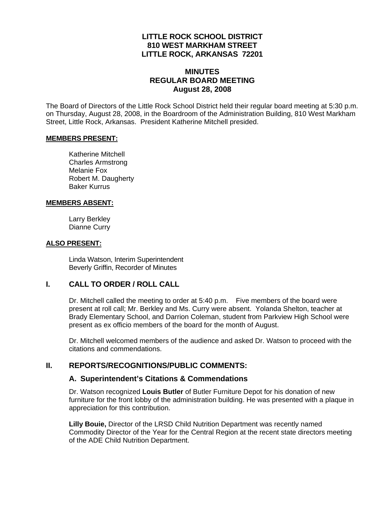## **LITTLE ROCK SCHOOL DISTRICT 810 WEST MARKHAM STREET LITTLE ROCK, ARKANSAS 72201**

## **MINUTES REGULAR BOARD MEETING August 28, 2008**

The Board of Directors of the Little Rock School District held their regular board meeting at 5:30 p.m. on Thursday, August 28, 2008, in the Boardroom of the Administration Building, 810 West Markham Street, Little Rock, Arkansas. President Katherine Mitchell presided.

#### **MEMBERS PRESENT:**

Katherine Mitchell Charles Armstrong Melanie Fox Robert M. Daugherty Baker Kurrus

#### **MEMBERS ABSENT:**

Larry Berkley Dianne Curry

#### **ALSO PRESENT:**

 Linda Watson, Interim Superintendent Beverly Griffin, Recorder of Minutes

## **I. CALL TO ORDER / ROLL CALL**

Dr. Mitchell called the meeting to order at 5:40 p.m. Five members of the board were present at roll call; Mr. Berkley and Ms. Curry were absent. Yolanda Shelton, teacher at Brady Elementary School, and Darrion Coleman, student from Parkview High School were present as ex officio members of the board for the month of August.

Dr. Mitchell welcomed members of the audience and asked Dr. Watson to proceed with the citations and commendations.

## **II. REPORTS/RECOGNITIONS/PUBLIC COMMENTS:**

#### **A. Superintendent's Citations & Commendations**

Dr. Watson recognized **Louis Butler** of Butler Furniture Depot for his donation of new furniture for the front lobby of the administration building. He was presented with a plaque in appreciation for this contribution.

**Lilly Bouie,** Director of the LRSD Child Nutrition Department was recently named Commodity Director of the Year for the Central Region at the recent state directors meeting of the ADE Child Nutrition Department.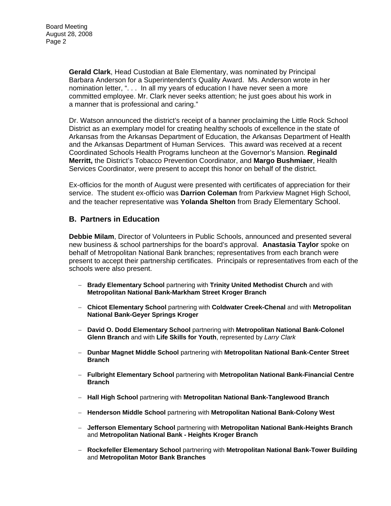**Gerald Clark**, Head Custodian at Bale Elementary, was nominated by Principal Barbara Anderson for a Superintendent's Quality Award. Ms. Anderson wrote in her nomination letter, ". . . In all my years of education I have never seen a more committed employee. Mr. Clark never seeks attention; he just goes about his work in a manner that is professional and caring."

Dr. Watson announced the district's receipt of a banner proclaiming the Little Rock School District as an exemplary model for creating healthy schools of excellence in the state of Arkansas from the Arkansas Department of Education, the Arkansas Department of Health and the Arkansas Department of Human Services. This award was received at a recent Coordinated Schools Health Programs luncheon at the Governor's Mansion. **Reginald Merritt,** the District's Tobacco Prevention Coordinator, and **Margo Bushmiaer**, Health Services Coordinator, were present to accept this honor on behalf of the district.

Ex-officios for the month of August were presented with certificates of appreciation for their service. The student ex-officio was **Darrion Coleman** from Parkview Magnet High School, and the teacher representative was **Yolanda Shelton** from Brady Elementary School.

#### **B. Partners in Education**

**Debbie Milam**, Director of Volunteers in Public Schools, announced and presented several new business & school partnerships for the board's approval. **Anastasia Taylor** spoke on behalf of Metropolitan National Bank branches; representatives from each branch were present to accept their partnership certificates. Principals or representatives from each of the schools were also present.

- − **Brady Elementary School** partnering with **Trinity United Methodist Church** and with **Metropolitan National Bank-Markham Street Kroger Branch**
- − **Chicot Elementary School** partnering with **Coldwater Creek-Chenal** and with **Metropolitan National Bank-Geyer Springs Kroger**
- − **David O. Dodd Elementary School** partnering with **Metropolitan National Bank-Colonel Glenn Branch** and with **Life Skills for Youth**, represented by *Larry Clark*
- − **Dunbar Magnet Middle School** partnering with **Metropolitan National Bank-Center Street Branch**
- − **Fulbright Elementary School** partnering with **Metropolitan National Bank-Financial Centre Branch**
- − **Hall High School** partnering with **Metropolitan National Bank-Tanglewood Branch**
- − **Henderson Middle School** partnering with **Metropolitan National Bank-Colony West**
- − **Jefferson Elementary School** partnering with **Metropolitan National Bank-Heights Branch** and **Metropolitan National Bank - Heights Kroger Branch**
- − **Rockefeller Elementary School** partnering with **Metropolitan National Bank-Tower Building**  and **Metropolitan Motor Bank Branches**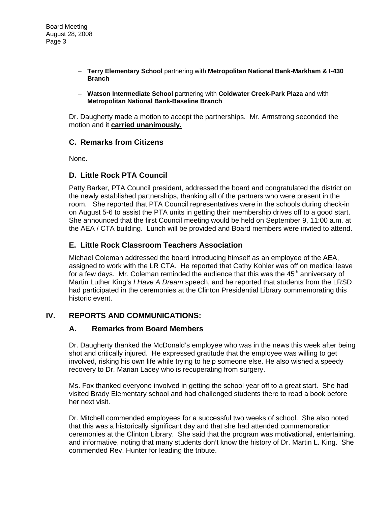- − **Terry Elementary School** partnering with **Metropolitan National Bank-Markham & I-430 Branch**
- − **Watson Intermediate School** partnering with **Coldwater Creek-Park Plaza** and with **Metropolitan National Bank-Baseline Branch**

Dr. Daugherty made a motion to accept the partnerships. Mr. Armstrong seconded the motion and it **carried unanimously.**

## **C. Remarks from Citizens**

None.

## **D. Little Rock PTA Council**

Patty Barker, PTA Council president, addressed the board and congratulated the district on the newly established partnerships, thanking all of the partners who were present in the room. She reported that PTA Council representatives were in the schools during check-in on August 5-6 to assist the PTA units in getting their membership drives off to a good start. She announced that the first Council meeting would be held on September 9, 11:00 a.m. at the AEA / CTA building. Lunch will be provided and Board members were invited to attend.

## **E. Little Rock Classroom Teachers Association**

Michael Coleman addressed the board introducing himself as an employee of the AEA, assigned to work with the LR CTA. He reported that Cathy Kohler was off on medical leave for a few days. Mr. Coleman reminded the audience that this was the  $45<sup>th</sup>$  anniversary of Martin Luther King's *I Have A Dream* speech, and he reported that students from the LRSD had participated in the ceremonies at the Clinton Presidential Library commemorating this historic event.

## **IV. REPORTS AND COMMUNICATIONS:**

## **A. Remarks from Board Members**

Dr. Daugherty thanked the McDonald's employee who was in the news this week after being shot and critically injured. He expressed gratitude that the employee was willing to get involved, risking his own life while trying to help someone else. He also wished a speedy recovery to Dr. Marian Lacey who is recuperating from surgery.

Ms. Fox thanked everyone involved in getting the school year off to a great start. She had visited Brady Elementary school and had challenged students there to read a book before her next visit.

Dr. Mitchell commended employees for a successful two weeks of school. She also noted that this was a historically significant day and that she had attended commemoration ceremonies at the Clinton Library. She said that the program was motivational, entertaining, and informative, noting that many students don't know the history of Dr. Martin L. King. She commended Rev. Hunter for leading the tribute.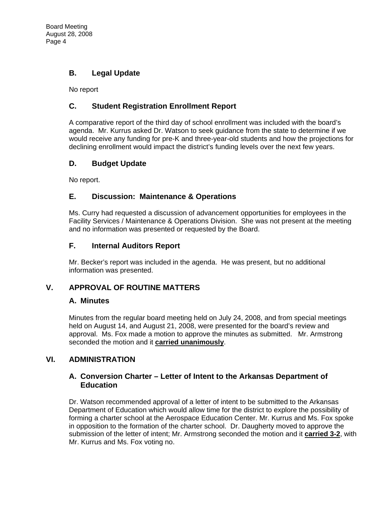# **B. Legal Update**

No report

## **C. Student Registration Enrollment Report**

A comparative report of the third day of school enrollment was included with the board's agenda. Mr. Kurrus asked Dr. Watson to seek guidance from the state to determine if we would receive any funding for pre-K and three-year-old students and how the projections for declining enrollment would impact the district's funding levels over the next few years.

## **D. Budget Update**

No report.

## **E. Discussion: Maintenance & Operations**

Ms. Curry had requested a discussion of advancement opportunities for employees in the Facility Services / Maintenance & Operations Division. She was not present at the meeting and no information was presented or requested by the Board.

## **F. Internal Auditors Report**

Mr. Becker's report was included in the agenda. He was present, but no additional information was presented.

# **V. APPROVAL OF ROUTINE MATTERS**

## **A. Minutes**

Minutes from the regular board meeting held on July 24, 2008, and from special meetings held on August 14, and August 21, 2008, were presented for the board's review and approval. Ms. Fox made a motion to approve the minutes as submitted. Mr. Armstrong seconded the motion and it **carried unanimously**.

# **VI. ADMINISTRATION**

## **A. Conversion Charter – Letter of Intent to the Arkansas Department of Education**

Dr. Watson recommended approval of a letter of intent to be submitted to the Arkansas Department of Education which would allow time for the district to explore the possibility of forming a charter school at the Aerospace Education Center. Mr. Kurrus and Ms. Fox spoke in opposition to the formation of the charter school. Dr. Daugherty moved to approve the submission of the letter of intent; Mr. Armstrong seconded the motion and it **carried 3-2**, with Mr. Kurrus and Ms. Fox voting no.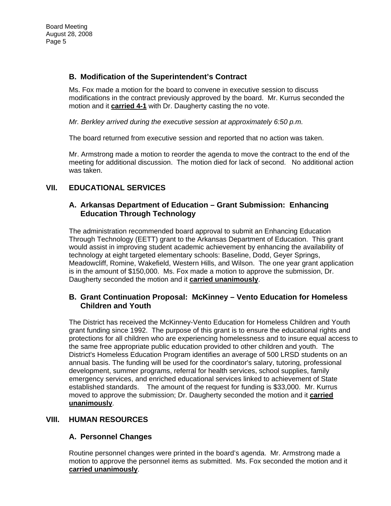## **B. Modification of the Superintendent's Contract**

Ms. Fox made a motion for the board to convene in executive session to discuss modifications in the contract previously approved by the board. Mr. Kurrus seconded the motion and it **carried 4-1** with Dr. Daugherty casting the no vote.

*Mr. Berkley arrived during the executive session at approximately 6:50 p.m.* 

The board returned from executive session and reported that no action was taken.

Mr. Armstrong made a motion to reorder the agenda to move the contract to the end of the meeting for additional discussion. The motion died for lack of second. No additional action was taken.

# **VII. EDUCATIONAL SERVICES**

#### **A. Arkansas Department of Education – Grant Submission: Enhancing Education Through Technology**

The administration recommended board approval to submit an Enhancing Education Through Technology (EETT) grant to the Arkansas Department of Education. This grant would assist in improving student academic achievement by enhancing the availability of technology at eight targeted elementary schools: Baseline, Dodd, Geyer Springs, Meadowcliff, Romine, Wakefield, Western Hills, and Wilson. The one year grant application is in the amount of \$150,000. Ms. Fox made a motion to approve the submission, Dr. Daugherty seconded the motion and it **carried unanimously**.

## **B. Grant Continuation Proposal: McKinney – Vento Education for Homeless Children and Youth**

The District has received the McKinney-Vento Education for Homeless Children and Youth grant funding since 1992. The purpose of this grant is to ensure the educational rights and protections for all children who are experiencing homelessness and to insure equal access to the same free appropriate public education provided to other children and youth. The District's Homeless Education Program identifies an average of 500 LRSD students on an annual basis. The funding will be used for the coordinator's salary, tutoring, professional development, summer programs, referral for health services, school supplies, family emergency services, and enriched educational services linked to achievement of State established standards. The amount of the request for funding is \$33,000. Mr. Kurrus moved to approve the submission; Dr. Daugherty seconded the motion and it **carried unanimously**.

## **VIII. HUMAN RESOURCES**

## **A. Personnel Changes**

Routine personnel changes were printed in the board's agenda. Mr. Armstrong made a motion to approve the personnel items as submitted. Ms. Fox seconded the motion and it **carried unanimously**.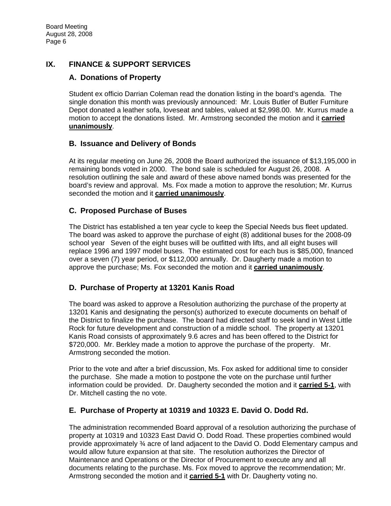# **IX. FINANCE & SUPPORT SERVICES**

## **A. Donations of Property**

Student ex officio Darrian Coleman read the donation listing in the board's agenda. The single donation this month was previously announced: Mr. Louis Butler of Butler Furniture Depot donated a leather sofa, loveseat and tables, valued at \$2,998.00. Mr. Kurrus made a motion to accept the donations listed. Mr. Armstrong seconded the motion and it **carried unanimously**.

## **B. Issuance and Delivery of Bonds**

At its regular meeting on June 26, 2008 the Board authorized the issuance of \$13,195,000 in remaining bonds voted in 2000. The bond sale is scheduled for August 26, 2008. A resolution outlining the sale and award of these above named bonds was presented for the board's review and approval. Ms. Fox made a motion to approve the resolution; Mr. Kurrus seconded the motion and it **carried unanimously**.

## **C. Proposed Purchase of Buses**

The District has established a ten year cycle to keep the Special Needs bus fleet updated. The board was asked to approve the purchase of eight (8) additional buses for the 2008-09 school year Seven of the eight buses will be outfitted with lifts, and all eight buses will replace 1996 and 1997 model buses. The estimated cost for each bus is \$85,000, financed over a seven (7) year period, or \$112,000 annually. Dr. Daugherty made a motion to approve the purchase; Ms. Fox seconded the motion and it **carried unanimously**.

# **D. Purchase of Property at 13201 Kanis Road**

The board was asked to approve a Resolution authorizing the purchase of the property at 13201 Kanis and designating the person(s) authorized to execute documents on behalf of the District to finalize the purchase. The board had directed staff to seek land in West Little Rock for future development and construction of a middle school. The property at 13201 Kanis Road consists of approximately 9.6 acres and has been offered to the District for \$720,000. Mr. Berkley made a motion to approve the purchase of the property. Mr. Armstrong seconded the motion.

Prior to the vote and after a brief discussion, Ms. Fox asked for additional time to consider the purchase. She made a motion to postpone the vote on the purchase until further information could be provided. Dr. Daugherty seconded the motion and it **carried 5-1**, with Dr. Mitchell casting the no vote.

## **E. Purchase of Property at 10319 and 10323 E. David O. Dodd Rd.**

The administration recommended Board approval of a resolution authorizing the purchase of property at 10319 and 10323 East David O. Dodd Road. These properties combined would provide approximately ¾ acre of land adjacent to the David O. Dodd Elementary campus and would allow future expansion at that site. The resolution authorizes the Director of Maintenance and Operations or the Director of Procurement to execute any and all documents relating to the purchase. Ms. Fox moved to approve the recommendation; Mr. Armstrong seconded the motion and it **carried 5-1** with Dr. Daugherty voting no.